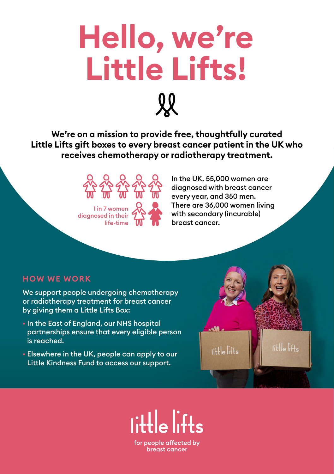

**We're on a mission to provide free, thoughtfully curated Little Lifts gift boxes to every breast cancer patient in the UK who receives chemotherapy or radiotherapy treatment.** 



In the UK, 55,000 women are diagnosed with breast cancer every year, and 350 men. There are 36,000 women living with secondary (incurable) breast cancer.

### **HOW WE WORK**

We support people undergoing chemotherapy or radiotherapy treatment for breast cancer by giving them a Little Lifts Box:

- In the East of England, our NHS hospital partnerships ensure that every eligible person is reached.
- Elsewhere in the UK, people can apply to our Little Kindness Fund to access our support.



for people affected by breast cancer